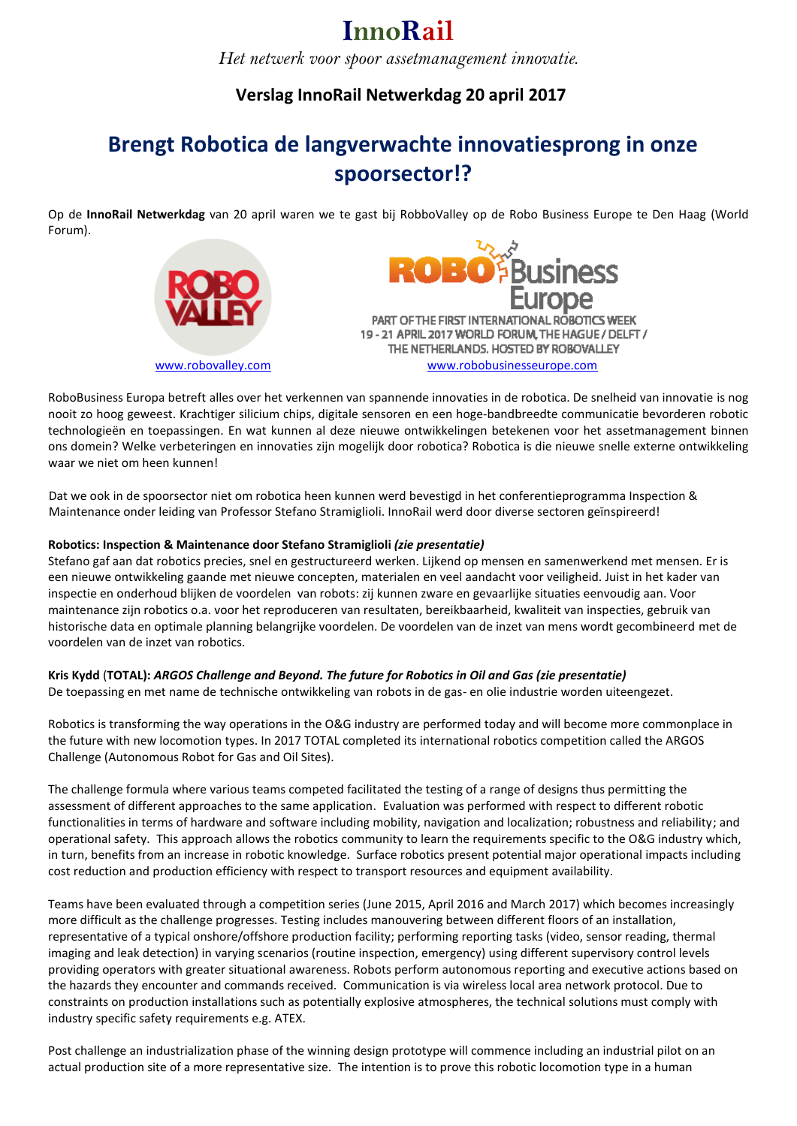*Het netwerk voor spoor assetmanagement innovatie.*

### **Verslag InnoRail Netwerkdag 20 april 2017**

### **Brengt Robotica de langverwachte innovatiesprong in onze spoorsector!?**

Op de **InnoRail Netwerkdag** van 20 april waren we te gast bij RobboValley op de Robo Business Europe te Den Haag (World Forum).





RoboBusiness Europa betreft alles over het verkennen van spannende innovaties in de robotica. De snelheid van innovatie is nog nooit zo hoog geweest. Krachtiger silicium chips, digitale sensoren en een hoge-bandbreedte communicatie bevorderen robotic technologieën en toepassingen. En wat kunnen al deze nieuwe ontwikkelingen betekenen voor het assetmanagement binnen ons domein? Welke verbeteringen en innovaties zijn mogelijk door robotica? Robotica is die nieuwe snelle externe ontwikkeling waar we niet om heen kunnen!

Dat we ook in de spoorsector niet om robotica heen kunnen werd bevestigd in het conferentieprogramma Inspection & Maintenance onder leiding van Professor Stefano Stramiglioli. InnoRail werd door diverse sectoren geïnspireerd!

### **Robotics: Inspection & Maintenance door Stefano Stramiglioli** *(zie presentatie)*

Stefano gaf aan dat robotics precies, snel en gestructureerd werken. Lijkend op mensen en samenwerkend met mensen. Er is een nieuwe ontwikkeling gaande met nieuwe concepten, materialen en veel aandacht voor veiligheid. Juist in het kader van inspectie en onderhoud blijken de voordelen van robots: zij kunnen zware en gevaarlijke situaties eenvoudig aan. Voor maintenance zijn robotics o.a. voor het reproduceren van resultaten, bereikbaarheid, kwaliteit van inspecties, gebruik van historische data en optimale planning belangrijke voordelen. De voordelen van de inzet van mens wordt gecombineerd met de voordelen van de inzet van robotics.

### **Kris Kydd** (**TOTAL):** *ARGOS Challenge and Beyond. The future for Robotics in Oil and Gas (zie presentatie)*

De toepassing en met name de technische ontwikkeling van robots in de gas- en olie industrie worden uiteengezet.

Robotics is transforming the way operations in the O&G industry are performed today and will become more commonplace in the future with new locomotion types. In 2017 TOTAL completed its international robotics competition called the ARGOS Challenge (Autonomous Robot for Gas and Oil Sites).

The challenge formula where various teams competed facilitated the testing of a range of designs thus permitting the assessment of different approaches to the same application. Evaluation was performed with respect to different robotic functionalities in terms of hardware and software including mobility, navigation and localization; robustness and reliability; and operational safety. This approach allows the robotics community to learn the requirements specific to the O&G industry which, in turn, benefits from an increase in robotic knowledge. Surface robotics present potential major operational impacts including cost reduction and production efficiency with respect to transport resources and equipment availability.

Teams have been evaluated through a competition series (June 2015, April 2016 and March 2017) which becomes increasingly more difficult as the challenge progresses. Testing includes manouvering between different floors of an installation, representative of a typical onshore/offshore production facility; performing reporting tasks (video, sensor reading, thermal imaging and leak detection) in varying scenarios (routine inspection, emergency) using different supervisory control levels providing operators with greater situational awareness. Robots perform autonomous reporting and executive actions based on the hazards they encounter and commands received. Communication is via wireless local area network protocol. Due to constraints on production installations such as potentially explosive atmospheres, the technical solutions must comply with industry specific safety requirements e.g. ATEX.

Post challenge an industrialization phase of the winning design prototype will commence including an industrial pilot on an actual production site of a more representative size. The intention is to prove this robotic locomotion type in a human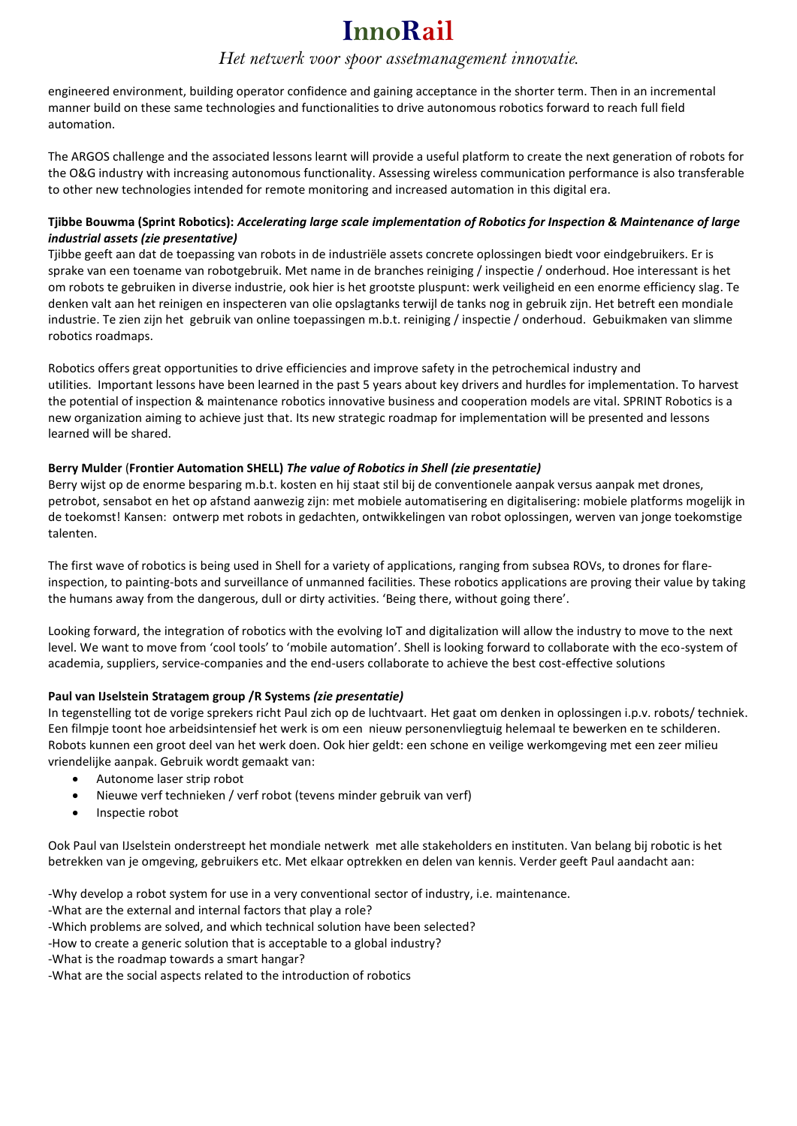### *Het netwerk voor spoor assetmanagement innovatie.*

engineered environment, building operator confidence and gaining acceptance in the shorter term. Then in an incremental manner build on these same technologies and functionalities to drive autonomous robotics forward to reach full field automation.

The ARGOS challenge and the associated lessons learnt will provide a useful platform to create the next generation of robots for the O&G industry with increasing autonomous functionality. Assessing wireless communication performance is also transferable to other new technologies intended for remote monitoring and increased automation in this digital era.

### **Tjibbe Bouwma (Sprint Robotics):** *Accelerating large scale implementation of Robotics for Inspection & Maintenance of large industrial assets (zie presentative)*

Tjibbe geeft aan dat de toepassing van robots in de industriële assets concrete oplossingen biedt voor eindgebruikers. Er is sprake van een toename van robotgebruik. Met name in de branches reiniging / inspectie / onderhoud. Hoe interessant is het om robots te gebruiken in diverse industrie, ook hier is het grootste pluspunt: werk veiligheid en een enorme efficiency slag. Te denken valt aan het reinigen en inspecteren van olie opslagtanks terwijl de tanks nog in gebruik zijn. Het betreft een mondiale industrie. Te zien zijn het gebruik van online toepassingen m.b.t. reiniging / inspectie / onderhoud. Gebuikmaken van slimme robotics roadmaps.

Robotics offers great opportunities to drive efficiencies and improve safety in the petrochemical industry and utilities. Important lessons have been learned in the past 5 years about key drivers and hurdles for implementation. To harvest the potential of inspection & maintenance robotics innovative business and cooperation models are vital. SPRINT Robotics is a new organization aiming to achieve just that. Its new strategic roadmap for implementation will be presented and lessons learned will be shared.

### **Berry Mulder** (**Frontier Automation SHELL)** *The value of Robotics in Shell (zie presentatie)*

Berry wijst op de enorme besparing m.b.t. kosten en hij staat stil bij de conventionele aanpak versus aanpak met drones, petrobot, sensabot en het op afstand aanwezig zijn: met mobiele automatisering en digitalisering: mobiele platforms mogelijk in de toekomst! Kansen: ontwerp met robots in gedachten, ontwikkelingen van robot oplossingen, werven van jonge toekomstige talenten.

The first wave of robotics is being used in Shell for a variety of applications, ranging from subsea ROVs, to drones for flareinspection, to painting-bots and surveillance of unmanned facilities. These robotics applications are proving their value by taking the humans away from the dangerous, dull or dirty activities. 'Being there, without going there'.

Looking forward, the integration of robotics with the evolving IoT and digitalization will allow the industry to move to the next level. We want to move from 'cool tools' to 'mobile automation'. Shell is looking forward to collaborate with the eco-system of academia, suppliers, service-companies and the end-users collaborate to achieve the best cost-effective solutions

### **Paul van IJselstein Stratagem group /R Systems** *(zie presentatie)*

In tegenstelling tot de vorige sprekers richt Paul zich op de luchtvaart. Het gaat om denken in oplossingen i.p.v. robots/ techniek. Een filmpje toont hoe arbeidsintensief het werk is om een nieuw personenvliegtuig helemaal te bewerken en te schilderen. Robots kunnen een groot deel van het werk doen. Ook hier geldt: een schone en veilige werkomgeving met een zeer milieu vriendelijke aanpak. Gebruik wordt gemaakt van:

- Autonome laser strip robot
- Nieuwe verf technieken / verf robot (tevens minder gebruik van verf)
- Inspectie robot

Ook Paul van IJselstein onderstreept het mondiale netwerk met alle stakeholders en instituten. Van belang bij robotic is het betrekken van je omgeving, gebruikers etc. Met elkaar optrekken en delen van kennis. Verder geeft Paul aandacht aan:

-Why develop a robot system for use in a very conventional sector of industry, i.e. maintenance.

-What are the external and internal factors that play a role?

-Which problems are solved, and which technical solution have been selected?

- -How to create a generic solution that is acceptable to a global industry?
- -What is the roadmap towards a smart hangar?

-What are the social aspects related to the introduction of robotics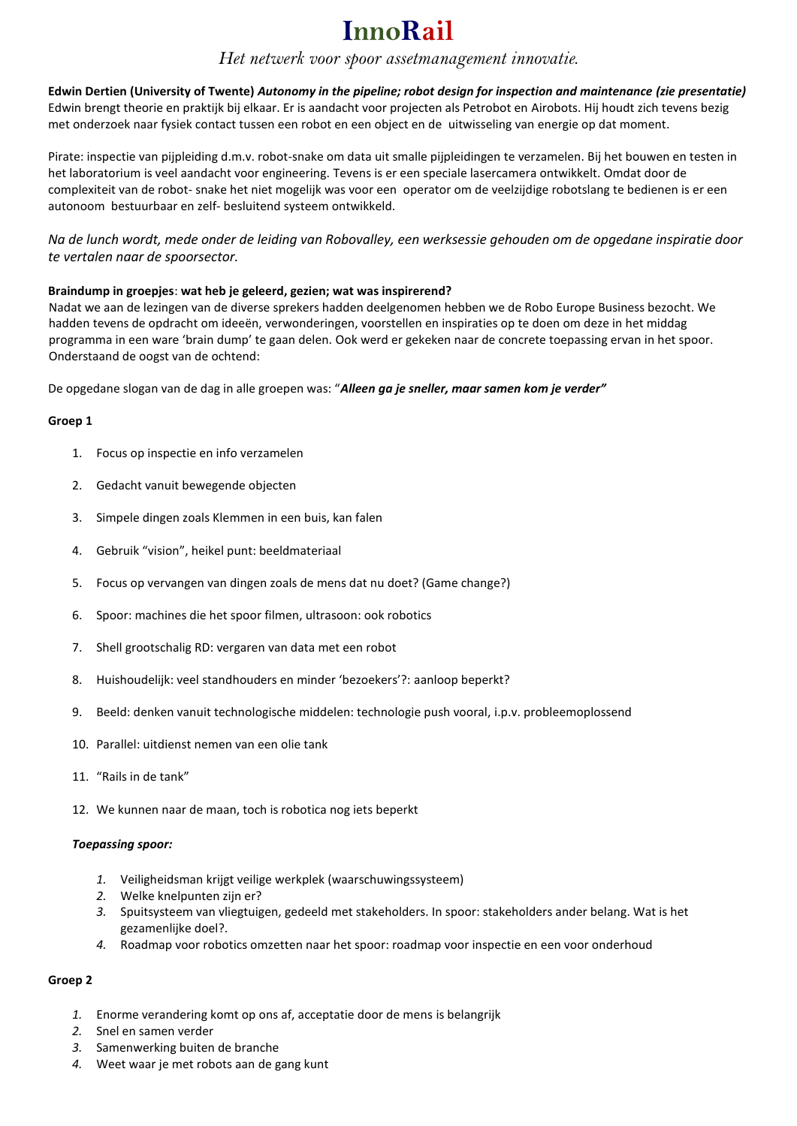### *Het netwerk voor spoor assetmanagement innovatie.*

**Edwin Dertien (University of Twente)** *Autonomy in the pipeline; robot design for inspection and maintenance (zie presentatie)* Edwin brengt theorie en praktijk bij elkaar. Er is aandacht voor projecten als Petrobot en Airobots. Hij houdt zich tevens bezig met onderzoek naar fysiek contact tussen een robot en een object en de uitwisseling van energie op dat moment.

Pirate: inspectie van pijpleiding d.m.v. robot-snake om data uit smalle pijpleidingen te verzamelen. Bij het bouwen en testen in het laboratorium is veel aandacht voor engineering. Tevens is er een speciale lasercamera ontwikkelt. Omdat door de complexiteit van de robot- snake het niet mogelijk was voor een operator om de veelzijdige robotslang te bedienen is er een autonoom bestuurbaar en zelf- besluitend systeem ontwikkeld.

*Na de lunch wordt, mede onder de leiding van Robovalley, een werksessie gehouden om de opgedane inspiratie door te vertalen naar de spoorsector.*

### **Braindump in groepjes**: **wat heb je geleerd, gezien; wat was inspirerend?**

Nadat we aan de lezingen van de diverse sprekers hadden deelgenomen hebben we de Robo Europe Business bezocht. We hadden tevens de opdracht om ideeën, verwonderingen, voorstellen en inspiraties op te doen om deze in het middag programma in een ware 'brain dump' te gaan delen. Ook werd er gekeken naar de concrete toepassing ervan in het spoor. Onderstaand de oogst van de ochtend:

De opgedane slogan van de dag in alle groepen was: "*Alleen ga je sneller, maar samen kom je verder"*

### **Groep 1**

- 1. Focus op inspectie en info verzamelen
- 2. Gedacht vanuit bewegende objecten
- 3. Simpele dingen zoals Klemmen in een buis, kan falen
- 4. Gebruik "vision", heikel punt: beeldmateriaal
- 5. Focus op vervangen van dingen zoals de mens dat nu doet? (Game change?)
- 6. Spoor: machines die het spoor filmen, ultrasoon: ook robotics
- 7. Shell grootschalig RD: vergaren van data met een robot
- 8. Huishoudelijk: veel standhouders en minder 'bezoekers'?: aanloop beperkt?
- 9. Beeld: denken vanuit technologische middelen: technologie push vooral, i.p.v. probleemoplossend
- 10. Parallel: uitdienst nemen van een olie tank
- 11. "Rails in de tank"
- 12. We kunnen naar de maan, toch is robotica nog iets beperkt

### *Toepassing spoor:*

- *1.* Veiligheidsman krijgt veilige werkplek (waarschuwingssysteem)
- *2.* Welke knelpunten zijn er?
- *3.* Spuitsysteem van vliegtuigen, gedeeld met stakeholders. In spoor: stakeholders ander belang. Wat is het gezamenlijke doel?.
- *4.* Roadmap voor robotics omzetten naar het spoor: roadmap voor inspectie en een voor onderhoud

### **Groep 2**

- *1.* Enorme verandering komt op ons af, acceptatie door de mens is belangrijk
- *2.* Snel en samen verder
- *3.* Samenwerking buiten de branche
- *4.* Weet waar je met robots aan de gang kunt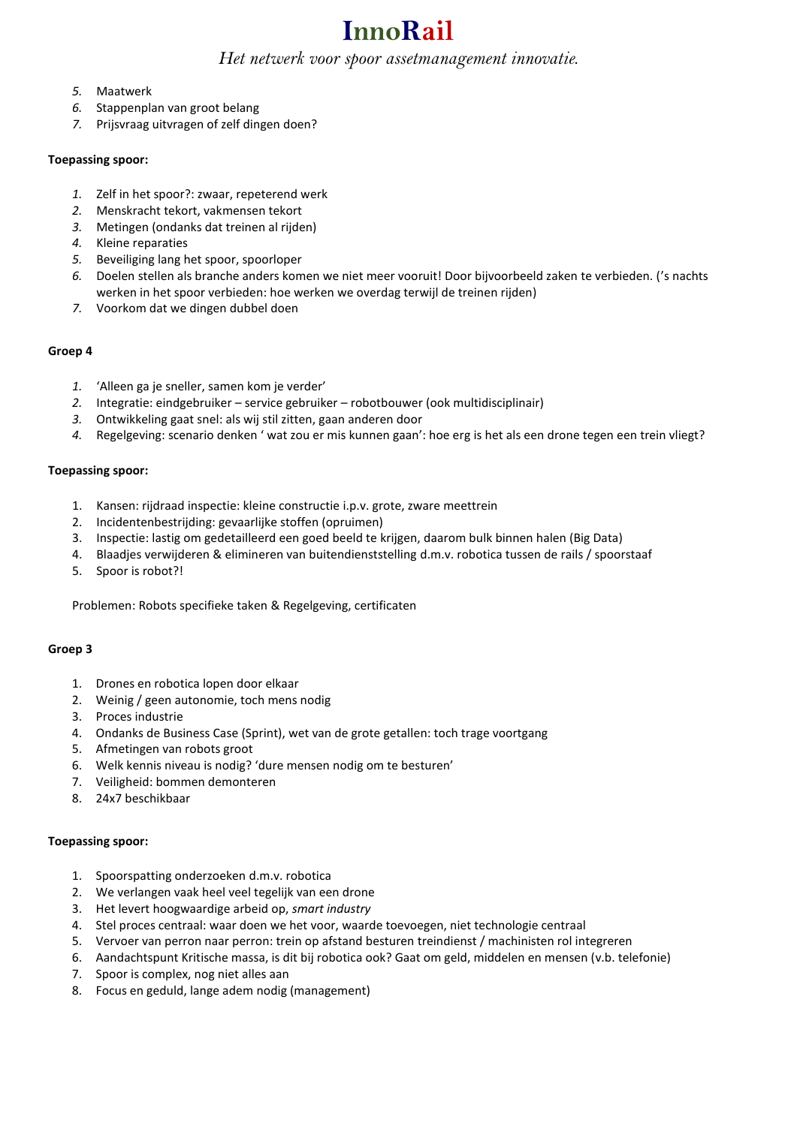### *Het netwerk voor spoor assetmanagement innovatie.*

- *5.* Maatwerk
- *6.* Stappenplan van groot belang
- *7.* Prijsvraag uitvragen of zelf dingen doen?

### **Toepassing spoor:**

- *1.* Zelf in het spoor?: zwaar, repeterend werk
- *2.* Menskracht tekort, vakmensen tekort
- *3.* Metingen (ondanks dat treinen al rijden)
- *4.* Kleine reparaties
- *5.* Beveiliging lang het spoor, spoorloper
- *6.* Doelen stellen als branche anders komen we niet meer vooruit! Door bijvoorbeeld zaken te verbieden. ('s nachts werken in het spoor verbieden: hoe werken we overdag terwijl de treinen rijden)
- *7.* Voorkom dat we dingen dubbel doen

### **Groep 4**

- *1.* 'Alleen ga je sneller, samen kom je verder'
- *2.* Integratie: eindgebruiker service gebruiker robotbouwer (ook multidisciplinair)
- *3.* Ontwikkeling gaat snel: als wij stil zitten, gaan anderen door
- *4.* Regelgeving: scenario denken ' wat zou er mis kunnen gaan': hoe erg is het als een drone tegen een trein vliegt?

### **Toepassing spoor:**

- 1. Kansen: rijdraad inspectie: kleine constructie i.p.v. grote, zware meettrein
- 2. Incidentenbestrijding: gevaarlijke stoffen (opruimen)
- 3. Inspectie: lastig om gedetailleerd een goed beeld te krijgen, daarom bulk binnen halen (Big Data)
- 4. Blaadjes verwijderen & elimineren van buitendienststelling d.m.v. robotica tussen de rails / spoorstaaf
- 5. Spoor is robot?!

Problemen: Robots specifieke taken & Regelgeving, certificaten

### **Groep 3**

- 1. Drones en robotica lopen door elkaar
- 2. Weinig / geen autonomie, toch mens nodig
- 3. Proces industrie
- 4. Ondanks de Business Case (Sprint), wet van de grote getallen: toch trage voortgang
- 5. Afmetingen van robots groot
- 6. Welk kennis niveau is nodig? 'dure mensen nodig om te besturen'
- 7. Veiligheid: bommen demonteren
- 8. 24x7 beschikbaar

### **Toepassing spoor:**

- 1. Spoorspatting onderzoeken d.m.v. robotica
- 2. We verlangen vaak heel veel tegelijk van een drone
- 3. Het levert hoogwaardige arbeid op, *smart industry*
- 4. Stel proces centraal: waar doen we het voor, waarde toevoegen, niet technologie centraal
- 5. Vervoer van perron naar perron: trein op afstand besturen treindienst / machinisten rol integreren
- 6. Aandachtspunt Kritische massa, is dit bij robotica ook? Gaat om geld, middelen en mensen (v.b. telefonie)
- 7. Spoor is complex, nog niet alles aan
- 8. Focus en geduld, lange adem nodig (management)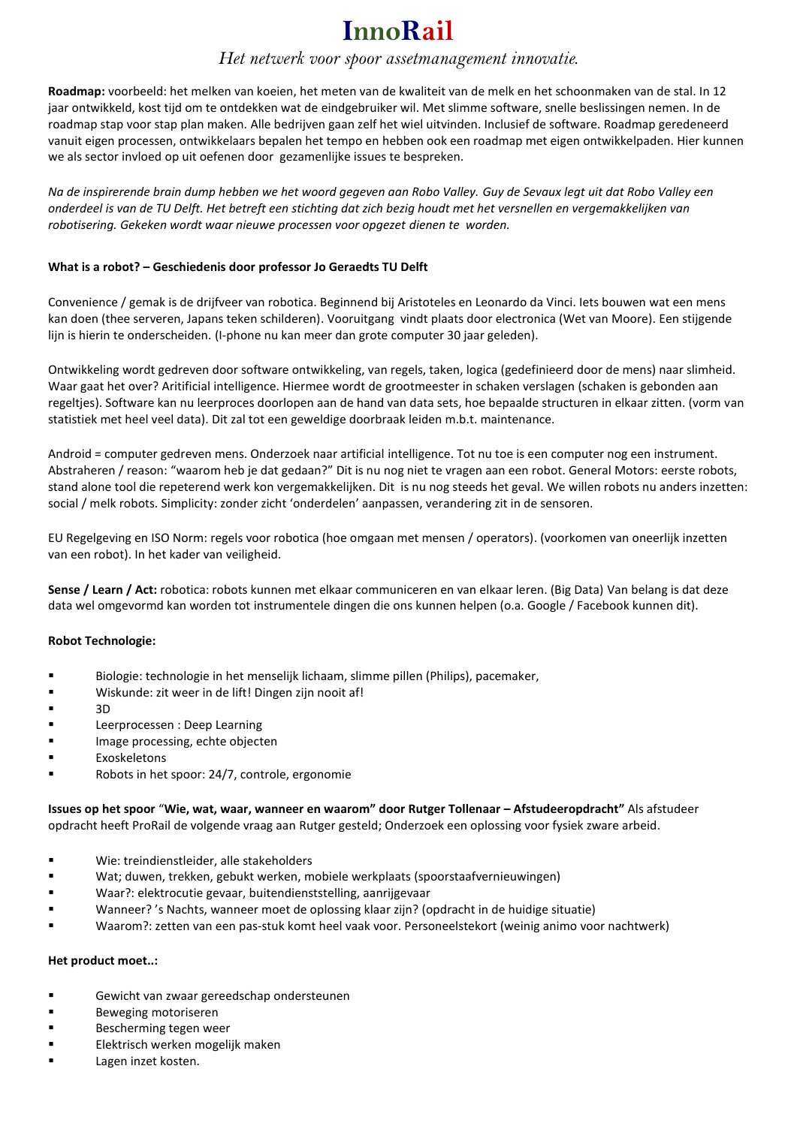### *Het netwerk voor spoor assetmanagement innovatie.*

**Roadmap:** voorbeeld: het melken van koeien, het meten van de kwaliteit van de melk en het schoonmaken van de stal. In 12 jaar ontwikkeld, kost tijd om te ontdekken wat de eindgebruiker wil. Met slimme software, snelle beslissingen nemen. In de roadmap stap voor stap plan maken. Alle bedrijven gaan zelf het wiel uitvinden. Inclusief de software. Roadmap geredeneerd vanuit eigen processen, ontwikkelaars bepalen het tempo en hebben ook een roadmap met eigen ontwikkelpaden. Hier kunnen we als sector invloed op uit oefenen door gezamenlijke issues te bespreken.

*Na de inspirerende brain dump hebben we het woord gegeven aan Robo Valley. Guy de Sevaux legt uit dat Robo Valley een onderdeel is van de TU Delft. Het betreft een stichting dat zich bezig houdt met het versnellen en vergemakkelijken van robotisering. Gekeken wordt waar nieuwe processen voor opgezet dienen te worden.* 

### **What is a robot? – Geschiedenis door professor Jo Geraedts TU Delft**

Convenience / gemak is de drijfveer van robotica. Beginnend bij Aristoteles en Leonardo da Vinci. Iets bouwen wat een mens kan doen (thee serveren, Japans teken schilderen). Vooruitgang vindt plaats door electronica (Wet van Moore). Een stijgende lijn is hierin te onderscheiden. (I-phone nu kan meer dan grote computer 30 jaar geleden).

Ontwikkeling wordt gedreven door software ontwikkeling, van regels, taken, logica (gedefinieerd door de mens) naar slimheid. Waar gaat het over? Aritificial intelligence. Hiermee wordt de grootmeester in schaken verslagen (schaken is gebonden aan regeltjes). Software kan nu leerproces doorlopen aan de hand van data sets, hoe bepaalde structuren in elkaar zitten. (vorm van statistiek met heel veel data). Dit zal tot een geweldige doorbraak leiden m.b.t. maintenance.

Android = computer gedreven mens. Onderzoek naar artificial intelligence. Tot nu toe is een computer nog een instrument. Abstraheren / reason: "waarom heb je dat gedaan?" Dit is nu nog niet te vragen aan een robot. General Motors: eerste robots, stand alone tool die repeterend werk kon vergemakkelijken. Dit is nu nog steeds het geval. We willen robots nu anders inzetten: social / melk robots. Simplicity: zonder zicht 'onderdelen' aanpassen, verandering zit in de sensoren.

EU Regelgeving en ISO Norm: regels voor robotica (hoe omgaan met mensen / operators). (voorkomen van oneerlijk inzetten van een robot). In het kader van veiligheid.

**Sense / Learn / Act:** robotica: robots kunnen met elkaar communiceren en van elkaar leren. (Big Data) Van belang is dat deze data wel omgevormd kan worden tot instrumentele dingen die ons kunnen helpen (o.a. Google / Facebook kunnen dit).

### **Robot Technologie:**

- Biologie: technologie in het menselijk lichaam, slimme pillen (Philips), pacemaker,
- Wiskunde: zit weer in de lift! Dingen zijn nooit af!
- $-3D$
- Leerprocessen : Deep Learning
- **IMage processing, echte objecten**
- Exoskeletons
- Robots in het spoor: 24/7, controle, ergonomie

**Issues op het spoor** "**Wie, wat, waar, wanneer en waarom" door Rutger Tollenaar – Afstudeeropdracht"** Als afstudeer opdracht heeft ProRail de volgende vraag aan Rutger gesteld; Onderzoek een oplossing voor fysiek zware arbeid.

- Wie: treindienstleider, alle stakeholders
- Wat; duwen, trekken, gebukt werken, mobiele werkplaats (spoorstaafvernieuwingen)
- Waar?: elektrocutie gevaar, buitendienststelling, aanrijgevaar
- Wanneer? 's Nachts, wanneer moet de oplossing klaar zijn? (opdracht in de huidige situatie)
- Waarom?: zetten van een pas-stuk komt heel vaak voor. Personeelstekort (weinig animo voor nachtwerk)

### **Het product moet..:**

- Gewicht van zwaar gereedschap ondersteunen
- Beweging motoriseren
- Bescherming tegen weer
- Elektrisch werken mogelijk maken
- **Lagen inzet kosten.**